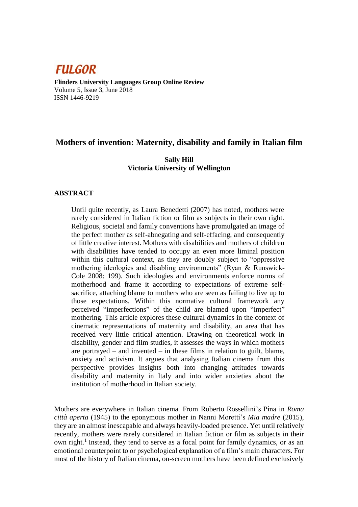## **FULGOR**

**Flinders University Languages Group Online Review** Volume 5, Issue 3, June 2018 ISSN 1446-9219

## **Mothers of invention: Maternity, disability and family in Italian film**

**Sally Hill Victoria University of Wellington**

## **ABSTRACT**

Until quite recently, as Laura Benedetti (2007) has noted, mothers were rarely considered in Italian fiction or film as subjects in their own right. Religious, societal and family conventions have promulgated an image of the perfect mother as self-abnegating and self-effacing, and consequently of little creative interest. Mothers with disabilities and mothers of children with disabilities have tended to occupy an even more liminal position within this cultural context, as they are doubly subject to "oppressive mothering ideologies and disabling environments" (Ryan & Runswick-Cole 2008: 199). Such ideologies and environments enforce norms of motherhood and frame it according to expectations of extreme selfsacrifice, attaching blame to mothers who are seen as failing to live up to those expectations. Within this normative cultural framework any perceived "imperfections" of the child are blamed upon "imperfect" mothering. This article explores these cultural dynamics in the context of cinematic representations of maternity and disability, an area that has received very little critical attention. Drawing on theoretical work in disability, gender and film studies, it assesses the ways in which mothers are portrayed – and invented – in these films in relation to guilt, blame, anxiety and activism. It argues that analysing Italian cinema from this perspective provides insights both into changing attitudes towards disability and maternity in Italy and into wider anxieties about the institution of motherhood in Italian society.

Mothers are everywhere in Italian cinema. From Roberto Rossellini's Pina in *Roma città aperta* (1945) to the eponymous mother in Nanni Moretti's *Mia madre* (2015), they are an almost inescapable and always heavily-loaded presence. Yet until relatively recently, mothers were rarely considered in Italian fiction or film as subjects in their own right.<sup>1</sup> Instead, they tend to serve as a focal point for family dynamics, or as an emotional counterpoint to or psychological explanation of a film's main characters. For most of the history of Italian cinema, on-screen mothers have been defined exclusively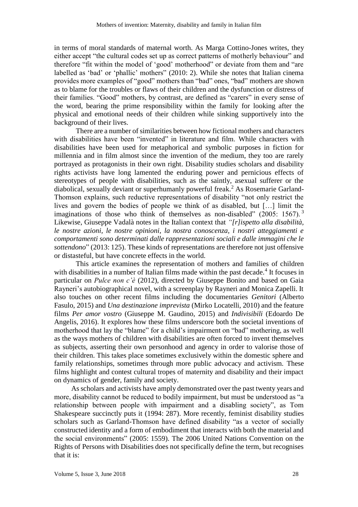in terms of moral standards of maternal worth. As Marga Cottino-Jones writes, they either accept "the cultural codes set up as correct patterns of motherly behaviour" and therefore "fit within the model of 'good' motherhood" or deviate from them and "are labelled as 'bad' or 'phallic' mothers" (2010: 2). While she notes that Italian cinema provides more examples of "good" mothers than "bad" ones, "bad" mothers are shown as to blame for the troubles or flaws of their children and the dysfunction or distress of their families. "Good" mothers, by contrast, are defined as "carers" in every sense of the word, bearing the prime responsibility within the family for looking after the physical and emotional needs of their children while sinking supportively into the background of their lives.

There are a number of similarities between how fictional mothers and characters with disabilities have been "invented" in literature and film. While characters with disabilities have been used for metaphorical and symbolic purposes in fiction for millennia and in film almost since the invention of the medium, they too are rarely portrayed as protagonists in their own right. Disability studies scholars and disability rights activists have long lamented the enduring power and pernicious effects of stereotypes of people with disabilities, such as the saintly, asexual sufferer or the diabolical, sexually deviant or superhumanly powerful freak.<sup>2</sup> As Rosemarie Garland-Thomson explains, such reductive representations of disability "not only restrict the lives and govern the bodies of people we think of as disabled, but […] limit the imaginations of those who think of themselves as non-disabled"  $(2005: 1567).$ <sup>3</sup> Likewise, Giuseppe Vadalà notes in the Italian context that *"[r]ispetto alla disabilità, le nostre azioni, le nostre opinioni, la nostra conoscenza, i nostri atteggiamenti e comportamenti sono determinati dalle rappresentazioni sociali e dalle immagini che le sottendono*" (2013: 125). These kinds of representations are therefore not just offensive or distasteful, but have concrete effects in the world.

This article examines the representation of mothers and families of children with disabilities in a number of Italian films made within the past decade.<sup>4</sup> It focuses in particular on *Pulce non c'è* (2012), directed by Giuseppe Bonito and based on Gaia Rayneri's autobiographical novel, with a screenplay by Rayneri and Monica Zapelli. It also touches on other recent films including the documentaries *Genitori* (Alberto Fasulo, 2015) and *Una destinazione imprevista* (Mirko Locatelli, 2010) and the feature films *Per amor vostro* (Giuseppe M. Gaudino, 2015) and *Indivisibili* (Edoardo De Angelis, 2016). It explores how these films underscore both the societal inventions of motherhood that lay the "blame" for a child's impairment on "bad" mothering, as well as the ways mothers of children with disabilities are often forced to invent themselves as subjects, asserting their own personhood and agency in order to valorise those of their children. This takes place sometimes exclusively within the domestic sphere and family relationships, sometimes through more public advocacy and activism. These films highlight and contest cultural tropes of maternity and disability and their impact on dynamics of gender, family and society.

As scholars and activists have amply demonstrated over the past twenty years and more, disability cannot be reduced to bodily impairment, but must be understood as "a relationship between people with impairment and a disabling society", as Tom Shakespeare succinctly puts it (1994: 287). More recently, feminist disability studies scholars such as Garland-Thomson have defined disability "as a vector of socially constructed identity and a form of embodiment that interacts with both the material and the social environments" (2005: 1559). The 2006 United Nations Convention on the Rights of Persons with Disabilities does not specifically define the term, but recognises that it is: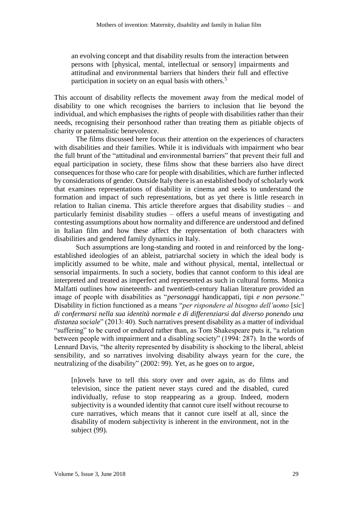an evolving concept and that disability results from the interaction between persons with [physical, mental, intellectual or sensory] impairments and attitudinal and environmental barriers that hinders their full and effective participation in society on an equal basis with others.<sup>5</sup>

This account of disability reflects the movement away from the medical model of disability to one which recognises the barriers to inclusion that lie beyond the individual, and which emphasises the rights of people with disabilities rather than their needs, recognising their personhood rather than treating them as pitiable objects of charity or paternalistic benevolence.

The films discussed here focus their attention on the experiences of characters with disabilities and their families. While it is individuals with impairment who bear the full brunt of the "attitudinal and environmental barriers" that prevent their full and equal participation in society, these films show that these barriers also have direct consequences for those who care for people with disabilities, which are further inflected by considerations of gender. Outside Italy there is an established body of scholarly work that examines representations of disability in cinema and seeks to understand the formation and impact of such representations, but as yet there is little research in relation to Italian cinema. This article therefore argues that disability studies – and particularly feminist disability studies – offers a useful means of investigating and contesting assumptions about how normality and difference are understood and defined in Italian film and how these affect the representation of both characters with disabilities and gendered family dynamics in Italy.

Such assumptions are long-standing and rooted in and reinforced by the longestablished ideologies of an ableist, patriarchal society in which the ideal body is implicitly assumed to be white, male and without physical, mental, intellectual or sensorial impairments. In such a society, bodies that cannot conform to this ideal are interpreted and treated as imperfect and represented as such in cultural forms. Monica Malfatti outlines how nineteenth- and twentieth-century Italian literature provided an image of people with disabilities as "*personaggi* handicappati*,* tipi *e non persone*." Disability in fiction functioned as a means "*per rispondere al bisogno dell'uomo* [*sic*] *di confermarsi nella sua identità normale e di differenziarsi dal diverso ponendo una distanza sociale*" (2013: 40). Such narratives present disability as a matter of individual "suffering" to be cured or endured rather than, as Tom Shakespeare puts it, "a relation between people with impairment and a disabling society" (1994: 287). In the words of Lennard Davis, "the alterity represented by disability is shocking to the liberal, ableist sensibility, and so narratives involving disability always yearn for the cure, the neutralizing of the disability" (2002: 99). Yet, as he goes on to argue,

[n]ovels have to tell this story over and over again, as do films and television, since the patient never stays cured and the disabled, cured individually, refuse to stop reappearing as a group. Indeed, modern subjectivity is a wounded identity that cannot cure itself without recourse to cure narratives, which means that it cannot cure itself at all, since the disability of modern subjectivity is inherent in the environment, not in the subject (99).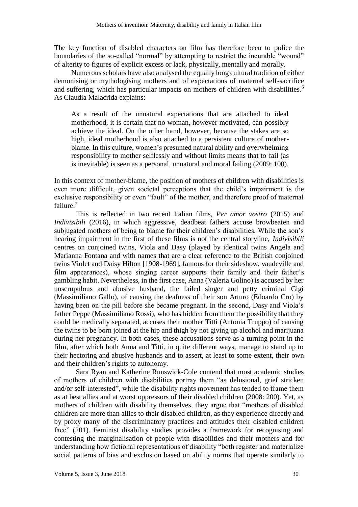The key function of disabled characters on film has therefore been to police the boundaries of the so-called "normal" by attempting to restrict the incurable "wound" of alterity to figures of explicit excess or lack, physically, mentally and morally.

Numerous scholars have also analysed the equally long cultural tradition of either demonising or mythologising mothers and of expectations of maternal self-sacrifice and suffering, which has particular impacts on mothers of children with disabilities.<sup>6</sup> As Claudia Malacrida explains:

As a result of the unnatural expectations that are attached to ideal motherhood, it is certain that no woman, however motivated, can possibly achieve the ideal. On the other hand, however, because the stakes are so high, ideal motherhood is also attached to a persistent culture of motherblame. In this culture, women's presumed natural ability and overwhelming responsibility to mother selflessly and without limits means that to fail (as is inevitable) is seen as a personal, unnatural and moral failing (2009: 100).

In this context of mother-blame, the position of mothers of children with disabilities is even more difficult, given societal perceptions that the child's impairment is the exclusive responsibility or even "fault" of the mother, and therefore proof of maternal failure.<sup>7</sup>

This is reflected in two recent Italian films, *Per amor vostro* (2015) and *Indivisibili* (2016), in which aggressive, deadbeat fathers accuse browbeaten and subjugated mothers of being to blame for their children's disabilities. While the son's hearing impairment in the first of these films is not the central storyline, *Indivisibili* centres on conjoined twins, Viola and Dasy (played by identical twins Angela and Marianna Fontana and with names that are a clear reference to the British conjoined twins Violet and Daisy Hilton [1908-1969], famous for their sideshow, vaudeville and film appearances), whose singing career supports their family and their father's gambling habit. Nevertheless, in the first case, Anna (Valeria Golino) is accused by her unscrupulous and abusive husband, the failed singer and petty criminal Gigi (Massimiliano Gallo), of causing the deafness of their son Arturo (Edoardo Cro) by having been on the pill before she became pregnant. In the second, Dasy and Viola's father Peppe (Massimiliano Rossi), who has hidden from them the possibility that they could be medically separated, accuses their mother Titti (Antonia Truppo) of causing the twins to be born joined at the hip and thigh by not giving up alcohol and marijuana during her pregnancy. In both cases, these accusations serve as a turning point in the film, after which both Anna and Titti, in quite different ways, manage to stand up to their hectoring and abusive husbands and to assert, at least to some extent, their own and their children's rights to autonomy.

Sara Ryan and Katherine Runswick-Cole contend that most academic studies of mothers of children with disabilities portray them "as delusional, grief stricken and/or self-interested", while the disability rights movement has tended to frame them as at best allies and at worst oppressors of their disabled children (2008: 200). Yet, as mothers of children with disability themselves, they argue that "mothers of disabled children are more than allies to their disabled children, as they experience directly and by proxy many of the discriminatory practices and attitudes their disabled children face" (201). Feminist disability studies provides a framework for recognising and contesting the marginalisation of people with disabilities and their mothers and for understanding how fictional representations of disability "both register and materialize social patterns of bias and exclusion based on ability norms that operate similarly to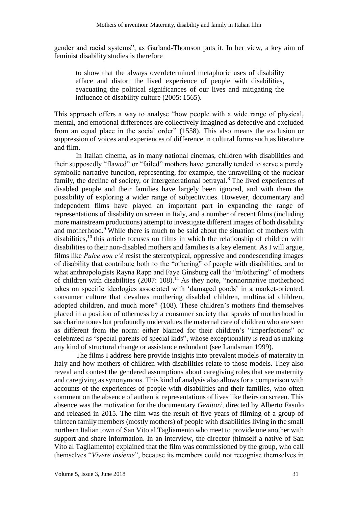gender and racial systems", as Garland-Thomson puts it. In her view, a key aim of feminist disability studies is therefore

to show that the always overdetermined metaphoric uses of disability efface and distort the lived experience of people with disabilities, evacuating the political significances of our lives and mitigating the influence of disability culture (2005: 1565).

This approach offers a way to analyse "how people with a wide range of physical, mental, and emotional differences are collectively imagined as defective and excluded from an equal place in the social order" (1558). This also means the exclusion or suppression of voices and experiences of difference in cultural forms such as literature and film.

In Italian cinema, as in many national cinemas, children with disabilities and their supposedly "flawed" or "failed" mothers have generally tended to serve a purely symbolic narrative function, representing, for example, the unravelling of the nuclear family, the decline of society, or intergenerational betrayal.<sup>8</sup> The lived experiences of disabled people and their families have largely been ignored, and with them the possibility of exploring a wider range of subjectivities. However, documentary and independent films have played an important part in expanding the range of representations of disability on screen in Italy, and a number of recent films (including more mainstream productions) attempt to investigate different images of both disability and motherhood.<sup>9</sup> While there is much to be said about the situation of mothers with disabilities,<sup>10</sup> this article focuses on films in which the relationship of children with disabilities to their non-disabled mothers and families is a key element. As I will argue, films like *Pulce non c'è* resist the stereotypical, oppressive and condescending images of disability that contribute both to the "othering" of people with disabilities, and to what anthropologists Rayna Rapp and Faye Ginsburg call the "m/othering" of mothers of children with disabilities  $(2007: 108)$ .<sup>11</sup> As they note, "nonnormative motherhood takes on specific ideologies associated with 'damaged goods' in a market-oriented, consumer culture that devalues mothering disabled children, multiracial children, adopted children, and much more" (108). These children's mothers find themselves placed in a position of otherness by a consumer society that speaks of motherhood in saccharine tones but profoundly undervalues the maternal care of children who are seen as different from the norm: either blamed for their children's "imperfections" or celebrated as "special parents of special kids", whose exceptionality is read as making any kind of structural change or assistance redundant (see Landsman 1999).

The films I address here provide insights into prevalent models of maternity in Italy and how mothers of children with disabilities relate to those models. They also reveal and contest the gendered assumptions about caregiving roles that see maternity and caregiving as synonymous. This kind of analysis also allows for a comparison with accounts of the experiences of people with disabilities and their families, who often comment on the absence of authentic representations of lives like theirs on screen. This absence was the motivation for the documentary *Genitori*, directed by Alberto Fasulo and released in 2015. The film was the result of five years of filming of a group of thirteen family members (mostly mothers) of people with disabilities living in the small northern Italian town of San Vito al Tagliamento who meet to provide one another with support and share information. In an interview, the director (himself a native of San Vito al Tagliamento) explained that the film was commissioned by the group, who call themselves "*Vivere insieme*", because its members could not recognise themselves in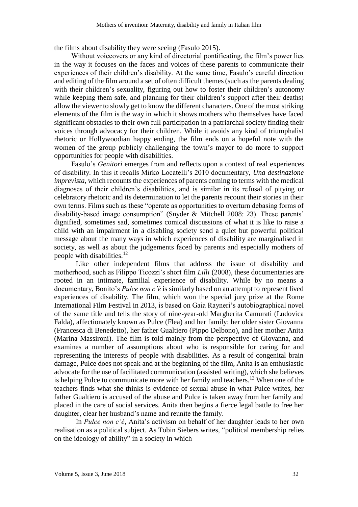the films about disability they were seeing (Fasulo 2015).

Without voiceovers or any kind of directorial pontificating, the film's power lies in the way it focuses on the faces and voices of these parents to communicate their experiences of their children's disability. At the same time, Fasulo's careful direction and editing of the film around a set of often difficult themes (such as the parents dealing with their children's sexuality, figuring out how to foster their children's autonomy while keeping them safe, and planning for their children's support after their deaths) allow the viewer to slowly get to know the different characters. One of the most striking elements of the film is the way in which it shows mothers who themselves have faced significant obstacles to their own full participation in a patriarchal society finding their voices through advocacy for their children. While it avoids any kind of triumphalist rhetoric or Hollywoodian happy ending, the film ends on a hopeful note with the women of the group publicly challenging the town's mayor to do more to support opportunities for people with disabilities.

Fasulo's *Genitori* emerges from and reflects upon a context of real experiences of disability. In this it recalls Mirko Locatelli's 2010 documentary, *Una destinazione imprevista*, which recounts the experiences of parents coming to terms with the medical diagnoses of their children's disabilities, and is similar in its refusal of pitying or celebratory rhetoric and its determination to let the parents recount their stories in their own terms. Films such as these "operate as opportunities to overturn debasing forms of disability-based image consumption" (Snyder & Mitchell 2008: 23). These parents' dignified, sometimes sad, sometimes comical discussions of what it is like to raise a child with an impairment in a disabling society send a quiet but powerful political message about the many ways in which experiences of disability are marginalised in society, as well as about the judgements faced by parents and especially mothers of people with disabilities.<sup>12</sup>

Like other independent films that address the issue of disability and motherhood, such as Filippo Ticozzi's short film *Lilli* (2008), these documentaries are rooted in an intimate, familial experience of disability. While by no means a documentary, Bonito's *Pulce non c'è* is similarly based on an attempt to represent lived experiences of disability. The film, which won the special jury prize at the Rome International Film Festival in 2013, is based on Gaia Rayneri's autobiographical novel of the same title and tells the story of nine-year-old Margherita Camurati (Ludovica Falda), affectionately known as Pulce (Flea) and her family: her older sister Giovanna (Francesca di Benedetto), her father Gualtiero (Pippo Delbono), and her mother Anita (Marina Massironi). The film is told mainly from the perspective of Giovanna, and examines a number of assumptions about who is responsible for caring for and representing the interests of people with disabilities. As a result of congenital brain damage, Pulce does not speak and at the beginning of the film, Anita is an enthusiastic advocate for the use of facilitated communication (assisted writing), which she believes is helping Pulce to communicate more with her family and teachers.<sup>13</sup> When one of the teachers finds what she thinks is evidence of sexual abuse in what Pulce writes, her father Gualtiero is accused of the abuse and Pulce is taken away from her family and placed in the care of social services. Anita then begins a fierce legal battle to free her daughter, clear her husband's name and reunite the family.

In *Pulce non c'è*, Anita's activism on behalf of her daughter leads to her own realisation as a political subject. As Tobin Siebers writes, "political membership relies on the ideology of ability" in a society in which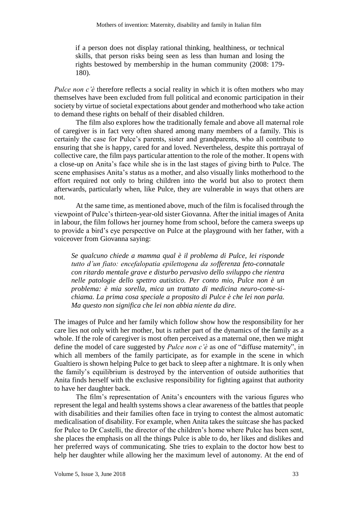if a person does not display rational thinking, healthiness, or technical skills, that person risks being seen as less than human and losing the rights bestowed by membership in the human community (2008: 179- 180).

*Pulce non c'è* therefore reflects a social reality in which it is often mothers who may themselves have been excluded from full political and economic participation in their society by virtue of societal expectations about gender and motherhood who take action to demand these rights on behalf of their disabled children.

The film also explores how the traditionally female and above all maternal role of caregiver is in fact very often shared among many members of a family. This is certainly the case for Pulce's parents, sister and grandparents, who all contribute to ensuring that she is happy, cared for and loved. Nevertheless, despite this portrayal of collective care, the film pays particular attention to the role of the mother. It opens with a close-up on Anita's face while she is in the last stages of giving birth to Pulce. The scene emphasises Anita's status as a mother, and also visually links motherhood to the effort required not only to bring children into the world but also to protect them afterwards, particularly when, like Pulce, they are vulnerable in ways that others are not.

At the same time, as mentioned above, much of the film is focalised through the viewpoint of Pulce's thirteen-year-old sister Giovanna. After the initial images of Anita in labour, the film follows her journey home from school, before the camera sweeps up to provide a bird's eye perspective on Pulce at the playground with her father, with a voiceover from Giovanna saying:

*Se qualcuno chiede a mamma qual è il problema di Pulce, lei risponde tutto d'un fiato: encefalopatia epilettogena da sofferenza feto-connatale con ritardo mentale grave e disturbo pervasivo dello sviluppo che rientra nelle patologie dello spettro autistico. Per conto mio, Pulce non è un problema: è mia sorella, mica un trattato di medicina neuro-come-sichiama. La prima cosa speciale a proposito di Pulce è che lei non parla. Ma questo non significa che lei non abbia niente da dire.*

The images of Pulce and her family which follow show how the responsibility for her care lies not only with her mother, but is rather part of the dynamics of the family as a whole. If the role of caregiver is most often perceived as a maternal one, then we might define the model of care suggested by *Pulce non c'è* as one of "diffuse maternity", in which all members of the family participate, as for example in the scene in which Gualtiero is shown helping Pulce to get back to sleep after a nightmare. It is only when the family's equilibrium is destroyed by the intervention of outside authorities that Anita finds herself with the exclusive responsibility for fighting against that authority to have her daughter back.

The film's representation of Anita's encounters with the various figures who represent the legal and health systems shows a clear awareness of the battles that people with disabilities and their families often face in trying to contest the almost automatic medicalisation of disability. For example, when Anita takes the suitcase she has packed for Pulce to Dr Castelli, the director of the children's home where Pulce has been sent, she places the emphasis on all the things Pulce is able to do, her likes and dislikes and her preferred ways of communicating. She tries to explain to the doctor how best to help her daughter while allowing her the maximum level of autonomy. At the end of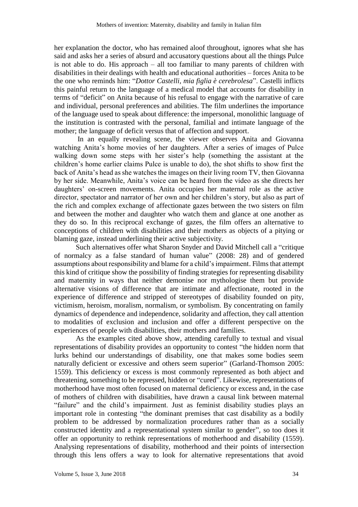her explanation the doctor, who has remained aloof throughout, ignores what she has said and asks her a series of absurd and accusatory questions about all the things Pulce is not able to do. His approach – all too familiar to many parents of children with disabilities in their dealings with health and educational authorities – forces Anita to be the one who reminds him: "*Dottor Castelli, mia figlia è cerebrolesa*". Castelli inflicts this painful return to the language of a medical model that accounts for disability in terms of "deficit" on Anita because of his refusal to engage with the narrative of care and individual, personal preferences and abilities. The film underlines the importance of the language used to speak about difference: the impersonal, monolithic language of the institution is contrasted with the personal, familial and intimate language of the mother; the language of deficit versus that of affection and support.

In an equally revealing scene, the viewer observes Anita and Giovanna watching Anita's home movies of her daughters. After a series of images of Pulce walking down some steps with her sister's help (something the assistant at the children's home earlier claims Pulce is unable to do), the shot shifts to show first the back of Anita's head as she watches the images on their living room TV, then Giovanna by her side. Meanwhile, Anita's voice can be heard from the video as she directs her daughters' on-screen movements. Anita occupies her maternal role as the active director, spectator and narrator of her own and her children's story, but also as part of the rich and complex exchange of affectionate gazes between the two sisters on film and between the mother and daughter who watch them and glance at one another as they do so. In this reciprocal exchange of gazes, the film offers an alternative to conceptions of children with disabilities and their mothers as objects of a pitying or blaming gaze, instead underlining their active subjectivity.

Such alternatives offer what Sharon Snyder and David Mitchell call a "critique of normalcy as a false standard of human value" (2008: 28) and of gendered assumptions about responsibility and blame for a child's impairment. Films that attempt this kind of critique show the possibility of finding strategies for representing disability and maternity in ways that neither demonise nor mythologise them but provide alternative visions of difference that are intimate and affectionate, rooted in the experience of difference and stripped of stereotypes of disability founded on pity, victimism, heroism, moralism, normalism, or symbolism. By concentrating on family dynamics of dependence and independence, solidarity and affection, they call attention to modalities of exclusion and inclusion and offer a different perspective on the experiences of people with disabilities, their mothers and families.

As the examples cited above show, attending carefully to textual and visual representations of disability provides an opportunity to contest "the hidden norm that lurks behind our understandings of disability, one that makes some bodies seem naturally deficient or excessive and others seem superior" (Garland-Thomson 2005: 1559). This deficiency or excess is most commonly represented as both abject and threatening, something to be repressed, hidden or "cured". Likewise, representations of motherhood have most often focused on maternal deficiency or excess and, in the case of mothers of children with disabilities, have drawn a causal link between maternal "failure" and the child's impairment. Just as feminist disability studies plays an important role in contesting "the dominant premises that cast disability as a bodily problem to be addressed by normalization procedures rather than as a socially constructed identity and a representational system similar to gender", so too does it offer an opportunity to rethink representations of motherhood and disability (1559). Analysing representations of disability, motherhood and their points of intersection through this lens offers a way to look for alternative representations that avoid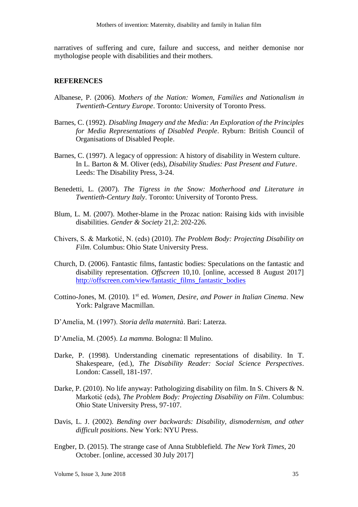narratives of suffering and cure, failure and success, and neither demonise nor mythologise people with disabilities and their mothers.

## **REFERENCES**

- Albanese, P. (2006). *Mothers of the Nation: Women, Families and Nationalism in Twentieth-Century Europe*. Toronto: University of Toronto Press.
- Barnes, C. (1992). *Disabling Imagery and the Media: An Exploration of the Principles for Media Representations of Disabled People*. Ryburn: British Council of Organisations of Disabled People.
- Barnes, C. (1997). A legacy of oppression: A history of disability in Western culture. In L. Barton & M. Oliver (eds), *Disability Studies: Past Present and Future*. Leeds: The Disability Press, 3-24.
- Benedetti, L. (2007). *The Tigress in the Snow: Motherhood and Literature in Twentieth-Century Italy*. Toronto: University of Toronto Press.
- Blum, L. M. (2007). Mother-blame in the Prozac nation: Raising kids with invisible disabilities. *Gender & Society* 21,2: 202-226.
- Chivers, S. & Markotić, N. (eds) (2010). *The Problem Body: Projecting Disability on Film*. Columbus: Ohio State University Press.
- Church, D. (2006). Fantastic films, fantastic bodies: Speculations on the fantastic and disability representation. *Offscreen* 10,10. [online, accessed 8 August 2017] [http://offscreen.com/view/fantastic\\_films\\_fantastic\\_bodies](http://offscreen.com/view/fantastic_films_fantastic_bodies)
- Cottino-Jones, M. (2010). 1<sup>st</sup> ed. *Women, Desire, and Power in Italian Cinema*. New York: Palgrave Macmillan.
- D'Amelia, M. (1997). *Storia della maternità*. Bari: Laterza.
- D'Amelia, M. (2005). *La mamma*. Bologna: Il Mulino.
- Darke, P. (1998). Understanding cinematic representations of disability. In T. Shakespeare, (ed.), *The Disability Reader: Social Science Perspectives*. London: Cassell, 181-197.
- Darke, P. (2010). No life anyway: Pathologizing disability on film. In S. Chivers & N. Markotić (eds), *The Problem Body: Projecting Disability on Film*. Columbus: Ohio State University Press, 97-107.
- Davis, L. J. (2002). *Bending over backwards: Disability, dismodernism, and other difficult positions*. New York: NYU Press.
- Engber, D. (2015). The strange case of Anna Stubblefield. *The New York Times*, 20 October. [online, accessed 30 July 2017]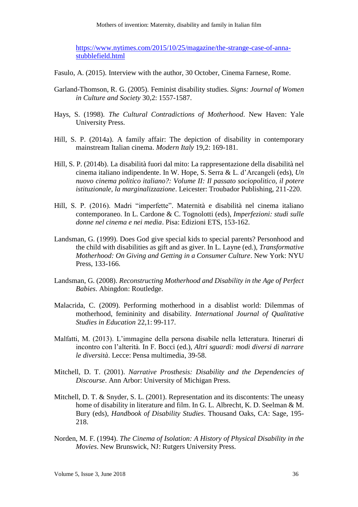[https://www.nytimes.com/2015/10/25/magazine/the-strange-case-of-anna](https://www.nytimes.com/2015/10/25/magazine/the-strange-case-of-anna-stubblefield.html)[stubblefield.html](https://www.nytimes.com/2015/10/25/magazine/the-strange-case-of-anna-stubblefield.html)

Fasulo, A. (2015). Interview with the author, 30 October, Cinema Farnese, Rome.

- Garland-Thomson, R. G. (2005). Feminist disability studies. *Signs: Journal of Women in Culture and Society* 30,2: 1557-1587.
- Hays, S. (1998). *The Cultural Contradictions of Motherhood*. New Haven: Yale University Press.
- Hill, S. P. (2014a). A family affair: The depiction of disability in contemporary mainstream Italian cinema. *Modern Italy* 19,2: 169-181.
- Hill, S. P. (2014b). La disabilità fuori dal mito: La rappresentazione della disabilità nel cinema italiano indipendente. In W. Hope, S. Serra & L. d'Arcangeli (eds), *Un nuovo cinema politico italiano?: Volume II: Il passato sociopolitico, il potere istituzionale, la marginalizzazione*. Leicester: Troubador Publishing, 211-220.
- Hill, S. P. (2016). Madri "imperfette". Maternità e disabilità nel cinema italiano contemporaneo. In L. Cardone & C. Tognolotti (eds), *Imperfezioni: studi sulle donne nel cinema e nei media*. Pisa: Edizioni ETS, 153-162.
- Landsman, G. (1999). Does God give special kids to special parents? Personhood and the child with disabilities as gift and as giver. In L. Layne (ed.), *Transformative Motherhood: On Giving and Getting in a Consumer Culture*. New York: NYU Press, 133-166.
- Landsman, G. (2008). *Reconstructing Motherhood and Disability in the Age of Perfect Babies*. Abingdon: Routledge.
- Malacrida, C. (2009). Performing motherhood in a disablist world: Dilemmas of motherhood, femininity and disability. *International Journal of Qualitative Studies in Education* 22,1: 99-117.
- Malfatti, M. (2013). L'immagine della persona disabile nella letteratura. Itinerari di incontro con l'alterità. In F. Bocci (ed.), *Altri sguardi: modi diversi di narrare le diversità*. Lecce: Pensa multimedia, 39-58.
- Mitchell, D. T. (2001). *Narrative Prosthesis: Disability and the Dependencies of Discourse*. Ann Arbor: University of Michigan Press.
- Mitchell, D. T. & Snyder, S. L. (2001). Representation and its discontents: The uneasy home of disability in literature and film. In G. L. Albrecht, K. D. Seelman & M. Bury (eds), *Handbook of Disability Studies*. Thousand Oaks, CA: Sage, 195- 218.
- Norden, M. F. (1994). *The Cinema of Isolation: A History of Physical Disability in the Movies*. New Brunswick, NJ: Rutgers University Press.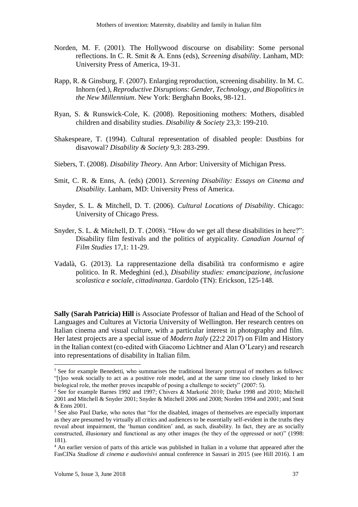- Norden, M. F. (2001). The Hollywood discourse on disability: Some personal reflections. In C. R. Smit & A. Enns (eds), *Screening disability*. Lanham, MD: University Press of America, 19-31.
- Rapp, R. & Ginsburg, F. (2007). Enlarging reproduction, screening disability. In M. C. Inhorn (ed.), *Reproductive Disruptions: Gender, Technology, and Biopolitics in the New Millennium*. New York: Berghahn Books, 98-121.
- Ryan, S. & Runswick-Cole, K. (2008). Repositioning mothers: Mothers, disabled children and disability studies. *Disability & Society* 23,3: 199-210.
- Shakespeare, T. (1994). Cultural representation of disabled people: Dustbins for disavowal? *Disability & Society* 9,3: 283-299.
- Siebers, T. (2008). *Disability Theory*. Ann Arbor: University of Michigan Press.
- Smit, C. R. & Enns, A. (eds) (2001). *Screening Disability: Essays on Cinema and Disability*. Lanham, MD: University Press of America.
- Snyder, S. L. & Mitchell, D. T. (2006). *Cultural Locations of Disability*. Chicago: University of Chicago Press.
- Snyder, S. L. & Mitchell, D. T. (2008). "How do we get all these disabilities in here?": Disability film festivals and the politics of atypicality. *Canadian Journal of Film Studies* 17,1: 11-29.
- Vadalà, G. (2013). La rappresentazione della disabilità tra conformismo e agire politico. In R. Medeghini (ed.), *Disability studies: emancipazione, inclusione scolastica e sociale, cittadinanza*. Gardolo (TN): Erickson, 125-148.

**Sally (Sarah Patricia) Hill** is Associate Professor of Italian and Head of the School of Languages and Cultures at Victoria University of Wellington. Her research centres on Italian cinema and visual culture, with a particular interest in photography and film. Her latest projects are a special issue of *Modern Italy* (22:2 2017) on Film and History in the Italian context (co-edited with Giacomo Lichtner and Alan O'Leary) and research into representations of disability in Italian film.

 $\overline{a}$ 

<sup>&</sup>lt;sup>1</sup> See for example Benedetti, who summarises the traditional literary portrayal of mothers as follows: "[t]oo weak socially to act as a positive role model, and at the same time too closely linked to her biological role, the mother proves incapable of posing a challenge to society" (2007: 5).

<sup>2</sup> See for example Barnes 1992 and 1997; Chivers & Markotić 2010; Darke 1998 and 2010; Mitchell 2001 and Mitchell & Snyder 2001; Snyder & Mitchell 2006 and 2008; Norden 1994 and 2001; and Smit & Enns 2001.

<sup>&</sup>lt;sup>3</sup> See also Paul Darke, who notes that "for the disabled, images of themselves are especially important as they are presumed by virtually all critics and audiences to be essentially self-evident in the truths they reveal about impairment, the 'human condition' and, as such, disability. In fact, they are as socially constructed, illusionary and functional as any other images (be they of the oppressed or not)" (1998: 181).

<sup>&</sup>lt;sup>4</sup> An earlier version of parts of this article was published in Italian in a volume that appeared after the FasCINa *Studiose di cinema e audiovisivi* annual conference in Sassari in 2015 (see Hill 2016). I am